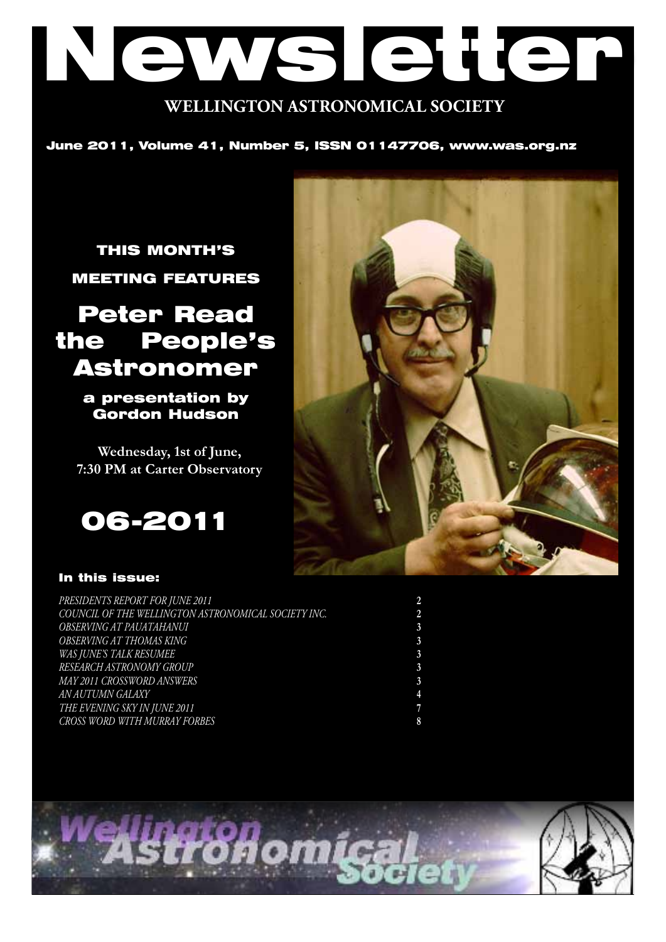# Newsletter **WELLINGTON ASTRONOMICAL SOCIETY**

June 2011, Volume 41, Number 5, ISSN 01147706, www.was.org.nz

THIS MONTH'S MEETING FEATURES

## Peter Read the People's Astronomer

a presentation by Gordon Hudson

**Wednesday, 1st of June, 7:30 PM at Carter Observatory**





#### In this issue:

| PRESIDENTS REPORT FOR JUNE 2011                     |  |
|-----------------------------------------------------|--|
| COUNCIL OF THE WELLINGTON ASTRONOMICAL SOCIETY INC. |  |
| OBSERVING AT PAUATAHANUI                            |  |
| OBSERVING AT THOMAS KING                            |  |
| WAS JUNE'S TALK RESUMEE                             |  |
| RESEARCH ASTRONOMY GROUP                            |  |
| MAY 2011 CROSSWORD ANSWERS                          |  |
| AN AUTUMN GALAXY                                    |  |
| THE EVENING SKY IN JUNE 2011                        |  |
| CROSS WORD WITH MURRAY FORBES                       |  |

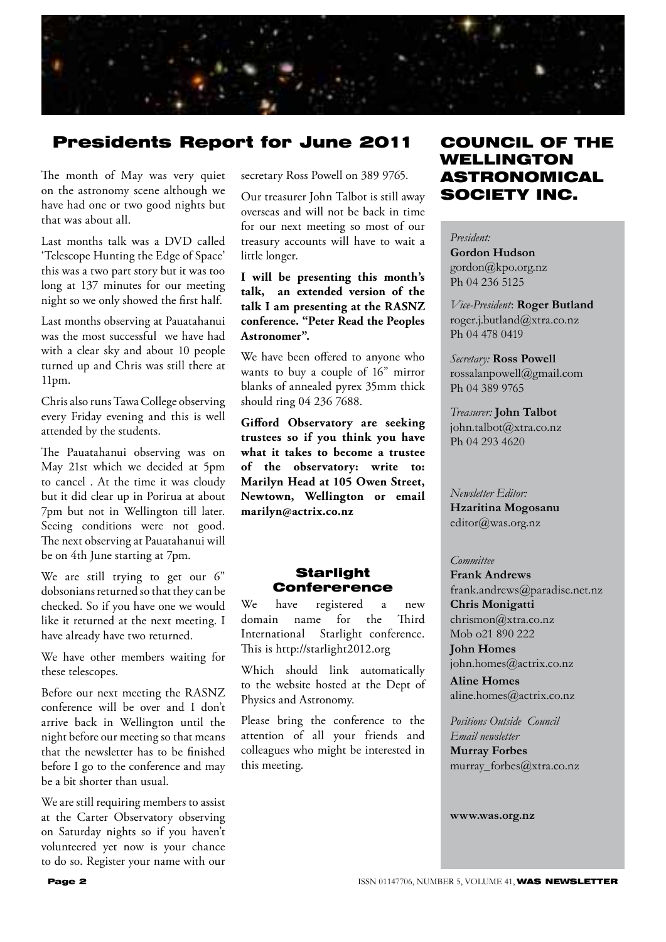

## Presidents Report for June 2011

The month of May was very quiet on the astronomy scene although we have had one or two good nights but that was about all.

Last months talk was a DVD called 'Telescope Hunting the Edge of Space' this was a two part story but it was too long at 137 minutes for our meeting night so we only showed the first half.

Last months observing at Pauatahanui was the most successful we have had with a clear sky and about 10 people turned up and Chris was still there at 11pm.

Chris also runs Tawa College observing every Friday evening and this is well attended by the students.

The Pauatahanui observing was on May 21st which we decided at 5pm to cancel . At the time it was cloudy but it did clear up in Porirua at about 7pm but not in Wellington till later. Seeing conditions were not good. The next observing at Pauatahanui will be on 4th June starting at 7pm.

We are still trying to get our 6" dobsonians returned so that they can be checked. So if you have one we would like it returned at the next meeting. I have already have two returned.

We have other members waiting for these telescopes.

Before our next meeting the RASNZ conference will be over and I don't arrive back in Wellington until the night before our meeting so that means that the newsletter has to be finished before I go to the conference and may be a bit shorter than usual.

We are still requiring members to assist at the Carter Observatory observing on Saturday nights so if you haven't volunteered yet now is your chance to do so. Register your name with our

secretary Ross Powell on 389 9765.

Our treasurer John Talbot is still away overseas and will not be back in time for our next meeting so most of our treasury accounts will have to wait a little longer.

#### **I will be presenting this month's talk, an extended version of the talk I am presenting at the RASNZ conference. "Peter Read the Peoples Astronomer".**

We have been offered to anyone who wants to buy a couple of 16" mirror blanks of annealed pyrex 35mm thick should ring 04 236 7688.

**Gifford Observatory are seeking trustees so if you think you have what it takes to become a trustee of the observatory: write to: Marilyn Head at 105 Owen Street, Newtown, Wellington or email marilyn@actrix.co.nz**

#### **Starlight Confererence**

We have registered a new domain name for the Third International Starlight conference. This is http://starlight2012.org

Which should link automatically to the website hosted at the Dept of Physics and Astronomy.

Please bring the conference to the attention of all your friends and colleagues who might be interested in this meeting.

## COUNCIL OF THE WELLINGTON ASTRONOMICAL SOCIETY INC.

*President:*  **Gordon Hudson** gordon@kpo.org.nz Ph 04 236 5125

*Vice-President*: **Roger Butland** roger.j.butland@xtra.co.nz Ph 04 478 0419

*Secretary:* **Ross Powell** rossalanpowell@gmail.com Ph 04 389 9765

*Treasurer:* **John Talbot** john.talbot@xtra.co.nz Ph 04 293 4620

*Newsletter Editor:*  **Hzaritina Mogosanu** editor@was.org.nz

#### *Committee*

**Frank Andrews** frank.andrews@paradise.net.nz **Chris Monigatti** chrismon@xtra.co.nz Mob o21 890 222

**John Homes** john.homes@actrix.co.nz

**Aline Homes** aline.homes@actrix.co.nz

*Positions Outside Council Email newsletter* **Murray Forbes** murray\_forbes@xtra.co.nz

**www.was.org.nz**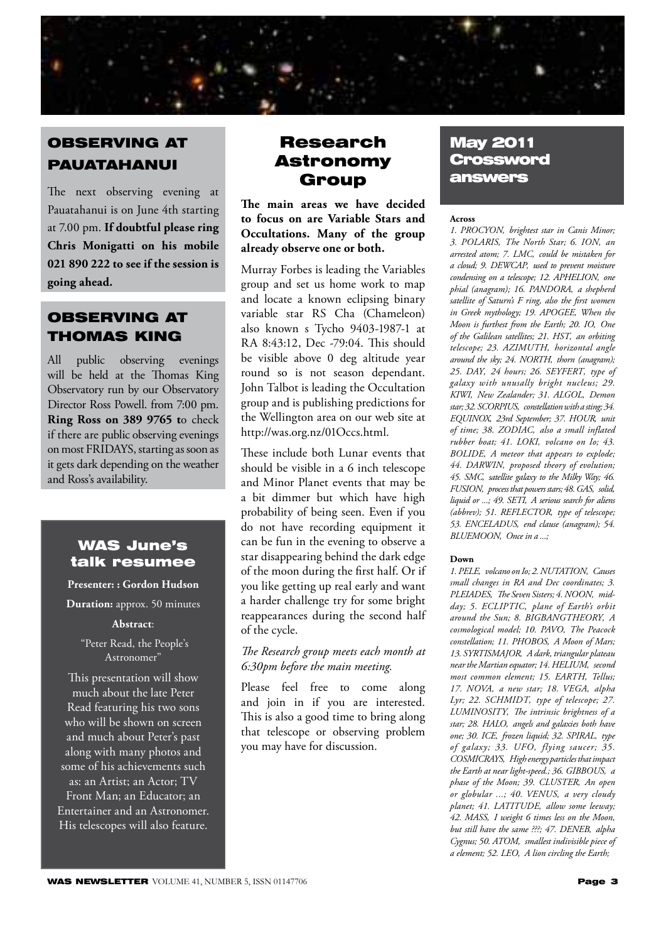

## OBSERVING AT PAUATAHANUI

The next observing evening at Pauatahanui is on June 4th starting at 7.00 pm. **If doubtful please ring Chris Monigatti on his mobile 021 890 222 to see if the session is going ahead.**

## OBSERVING AT THOMAS KING

All public observing evenings will be held at the Thomas King Observatory run by our Observatory Director Ross Powell. from 7:00 pm. **Ring Ross on 389 9765 t**o check if there are public observing evenings on most FRIDAYS, starting as soon as it gets dark depending on the weather and Ross's availability.

## WAS June's talk resumee

**Presenter: : Gordon Hudson** 

**Duration:** approx. 50 minutes

#### **Abstract**:

 "Peter Read, the People's Astronomer"

This presentation will show much about the late Peter Read featuring his two sons who will be shown on screen and much about Peter's past along with many photos and some of his achievements such as: an Artist; an Actor; TV Front Man; an Educator; an Entertainer and an Astronomer. His telescopes will also feature.

## Research Astronomy Group

**The main areas we have decided to focus on are Variable Stars and Occultations. Many of the group already observe one or both.**

Murray Forbes is leading the Variables group and set us home work to map and locate a known eclipsing binary variable star RS Cha (Chameleon) also known s Tycho 9403-1987-1 at RA 8:43:12, Dec -79:04. This should be visible above 0 deg altitude year round so is not season dependant. John Talbot is leading the Occultation group and is publishing predictions for the Wellington area on our web site at http://was.org.nz/01Occs.html.

These include both Lunar events that should be visible in a 6 inch telescope and Minor Planet events that may be a bit dimmer but which have high probability of being seen. Even if you do not have recording equipment it can be fun in the evening to observe a star disappearing behind the dark edge of the moon during the first half. Or if you like getting up real early and want a harder challenge try for some bright reappearances during the second half of the cycle.

*The Research group meets each month at 6:30pm before the main meeting.*

Please feel free to come along and join in if you are interested. This is also a good time to bring along that telescope or observing problem you may have for discussion.

## May 2011 **Crossword** answers

#### **Across**

*1. PROCYON' brightest star in Canis Minor; 3. POLARIS' The North Star; 6. ION' an arrested atom; 7. LMC' could be mistaken for a cloud; 9. DEWCAP' used to prevent moisture condensing on a telescope; 12. APHELION' one phial (anagram); 16. PANDORA' a shepherd satellite of Saturn's F ring, also the first women in Greek mythology; 19. APOGEE' When the Moon is furthest from the Earth; 20. IO' One of the Galilean satellites; 21. HST' an orbiting telescope; 23. AZIMUTH' horizontal angle around the sky; 24. NORTH' thorn (anagram); 25. DAY' 24 hours; 26. SEYFERT' type of galaxy with unusally bright nucleus; 29. KIWI' New Zealander; 31. ALGOL' Demon star; 32. SCORPIUS' constellation with a sting; 34. EQUINOX' 23rd September; 37. HOUR' unit of time; 38. ZODIAC' also a small inflated rubber boat; 41. LOKI' volcano on Io; 43. BOLIDE' A meteor that appears to explode; 44. DARWIN' proposed theory of evolution; 45. SMC' satellite galaxy to the Milky Way; 46. FUSION' process that powers stars; 48. GAS' solid, liquid or ...; 49. SETI' A serious search for aliens (abbrev); 51. REFLECTOR' type of telescope; 53. ENCELADUS' end clause (anagram); 54. BLUEMOON' Once in a ...;* 

#### **Down**

*1. PELE' volcano on Io; 2. NUTATION' Causes small changes in RA and Dec coordinates; 3. PLEIADES' The Seven Sisters; 4. NOON' midday; 5. ECLIPTIC' plane of Earth's orbit around the Sun; 8. BIGBANGTHEORY' A cosmological model; 10. PAVO' The Peacock constellation; 11. PHOBOS' A Moon of Mars; 13. SYRTISMAJOR' A dark, triangular plateau near the Martian equator; 14. HELIUM' second most common element; 15. EARTH' Tellus; 17. NOVA' a new star; 18. VEGA' alpha*  Lyr; 22. SCHMIDT, type of telescope; 27. *LUMINOSITY' The intrinsic brightness of a star; 28. HALO' angels and galaxies both have one; 30. ICE' frozen liquid; 32. SPIRAL' type of galaxy; 33. UFO' flying saucer; 35. COSMICRAYS' High energy particles that impact the Earth at near light-speed.; 36. GIBBOUS' a phase of the Moon; 39. CLUSTER' An open or globular ...; 40. VENUS' a very cloudy planet; 41. LATITUDE' allow some leeway; 42. MASS' I weight 6 times less on the Moon, but still have the same ???; 47. DENEB' alpha Cygnus; 50. ATOM' smallest indivisible piece of a element; 52. LEO' A lion circling the Earth;*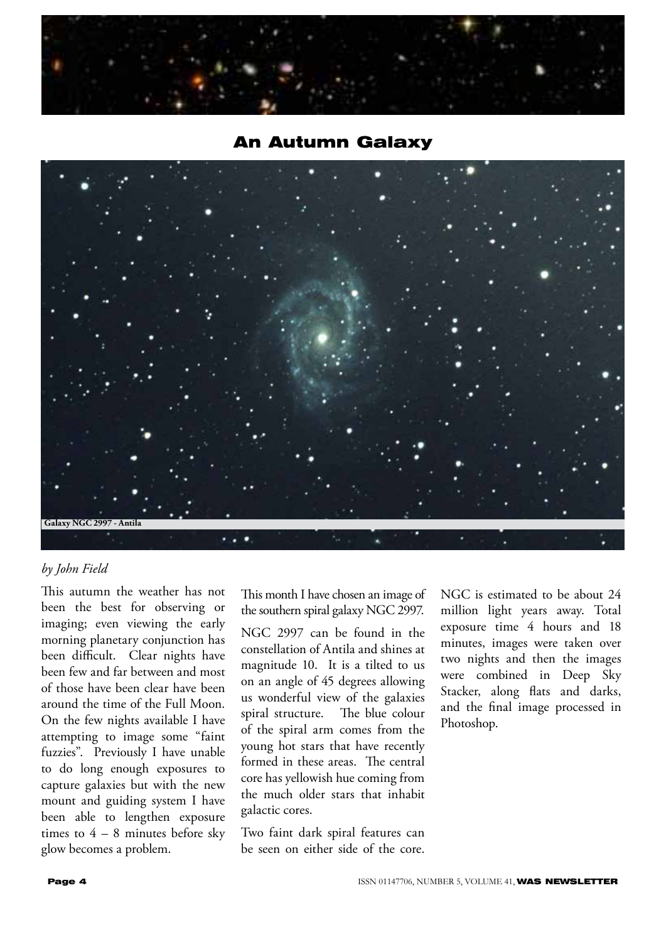

## An Autumn Galaxy



### *by John Field*

This autumn the weather has not been the best for observing or imaging; even viewing the early morning planetary conjunction has been difficult. Clear nights have been few and far between and most of those have been clear have been around the time of the Full Moon. On the few nights available I have attempting to image some "faint fuzzies". Previously I have unable to do long enough exposures to capture galaxies but with the new mount and guiding system I have been able to lengthen exposure times to  $4 - 8$  minutes before sky glow becomes a problem.

This month I have chosen an image of the southern spiral galaxy NGC 2997.

NGC 2997 can be found in the constellation of Antila and shines at magnitude 10. It is a tilted to us on an angle of 45 degrees allowing us wonderful view of the galaxies spiral structure. The blue colour of the spiral arm comes from the young hot stars that have recently formed in these areas. The central core has yellowish hue coming from the much older stars that inhabit galactic cores.

Two faint dark spiral features can be seen on either side of the core. NGC is estimated to be about 24 million light years away. Total exposure time 4 hours and 18 minutes, images were taken over two nights and then the images were combined in Deep Sky Stacker, along flats and darks, and the final image processed in Photoshop.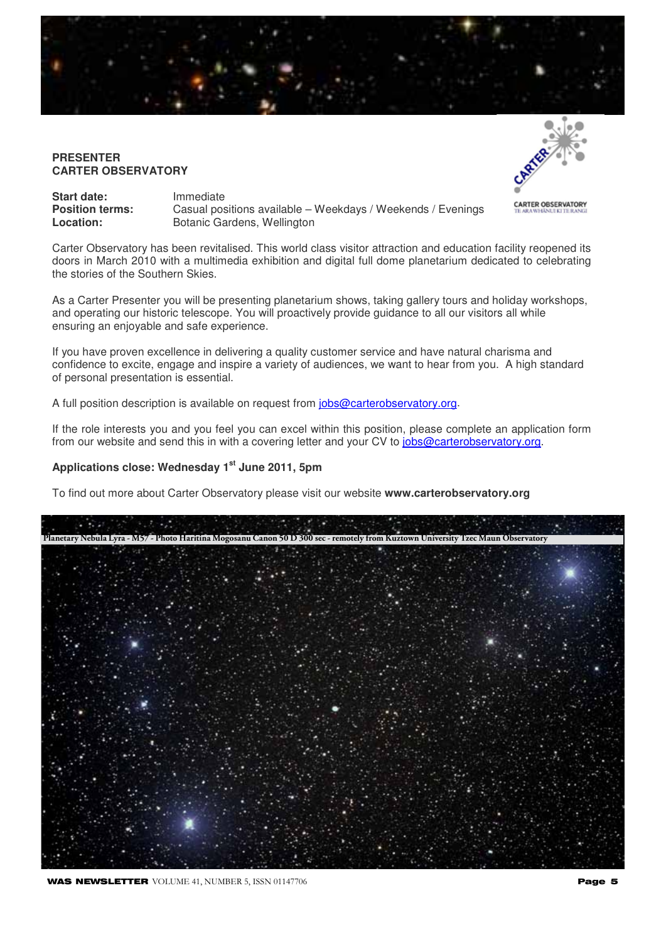

#### **PRESENTER CARTER OBSERVATORY**



| <b>Start date:</b>     | Immediate                                                   |
|------------------------|-------------------------------------------------------------|
| <b>Position terms:</b> | Casual positions available - Weekdays / Weekends / Evenings |
| Location:              | Botanic Gardens, Wellington                                 |

Carter Observatory has been revitalised. This world class visitor attraction and education facility reopened its doors in March 2010 with a multimedia exhibition and digital full dome planetarium dedicated to celebrating the stories of the Southern Skies.

As a Carter Presenter you will be presenting planetarium shows, taking gallery tours and holiday workshops, and operating our historic telescope. You will proactively provide guidance to all our visitors all while ensuring an enjoyable and safe experience.

If you have proven excellence in delivering a quality customer service and have natural charisma and confidence to excite, engage and inspire a variety of audiences, we want to hear from you. A high standard of personal presentation is essential.

A full position description is available on request from jobs@carterobservatory.org.

If the role interests you and you feel you can excel within this position, please complete an application form from our website and send this in with a covering letter and your CV to jobs@carterobservatory.org.

#### Applications close: Wednesday 1<sup>st</sup> June 2011, 5pm

To find out more about Carter Observatory please visit our website **www.carterobservatory.org**

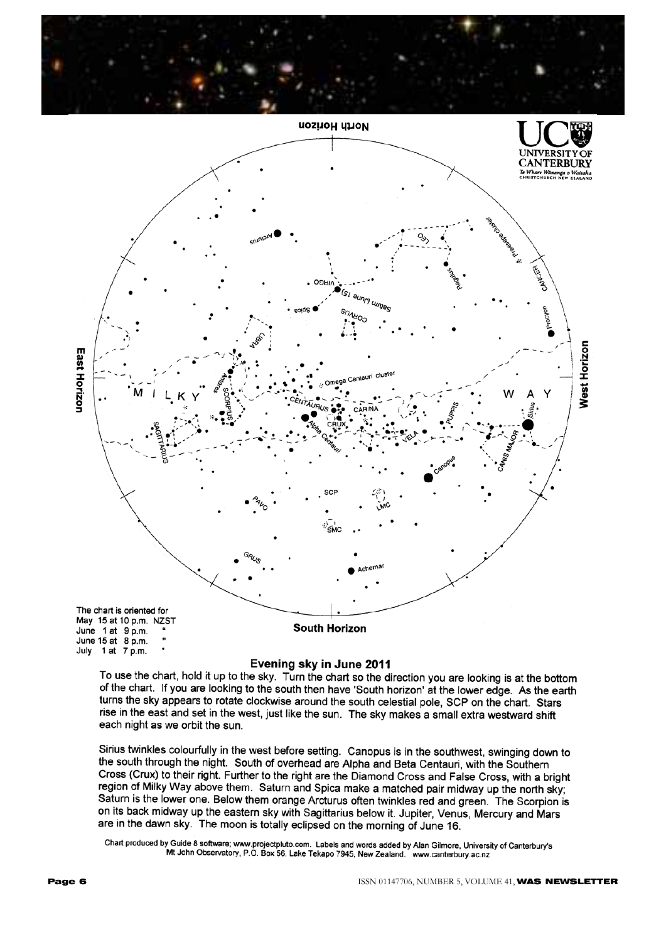



#### Evening sky in June 2011

To use the chart, hold it up to the sky. Turn the chart so the direction you are looking is at the bottom of the chart. If you are looking to the south then have 'South horizon' at the lower edge. As the earth turns the sky appears to rotate clockwise around the south celestial pole, SCP on the chart. Stars rise in the east and set in the west, just like the sun. The sky makes a small extra westward shift each night as we orbit the sun.

Sirius twinkles colourfully in the west before setting. Canopus is in the southwest, swinging down to the south through the night. South of overhead are Alpha and Beta Centauri, with the Southern Cross (Crux) to their right. Further to the right are the Diamond Cross and False Cross, with a bright region of Milky Way above them. Saturn and Spica make a matched pair midway up the north sky; Saturn is the lower one. Below them orange Arcturus often twinkles red and green. The Scorpion is on its back midway up the eastern sky with Sagittarius below it. Jupiter, Venus, Mercury and Mars are in the dawn sky. The moon is totally eclipsed on the morning of June 16.

Chart produced by Guide 8 software; www.projectpluto.com. Labels and words added by Alan Gilmore, University of Canterbury's<br>Mt John Observatory, P.O. Box 56, Lake Tekapo 7945, New Zealand. www.canterbury.ac.nz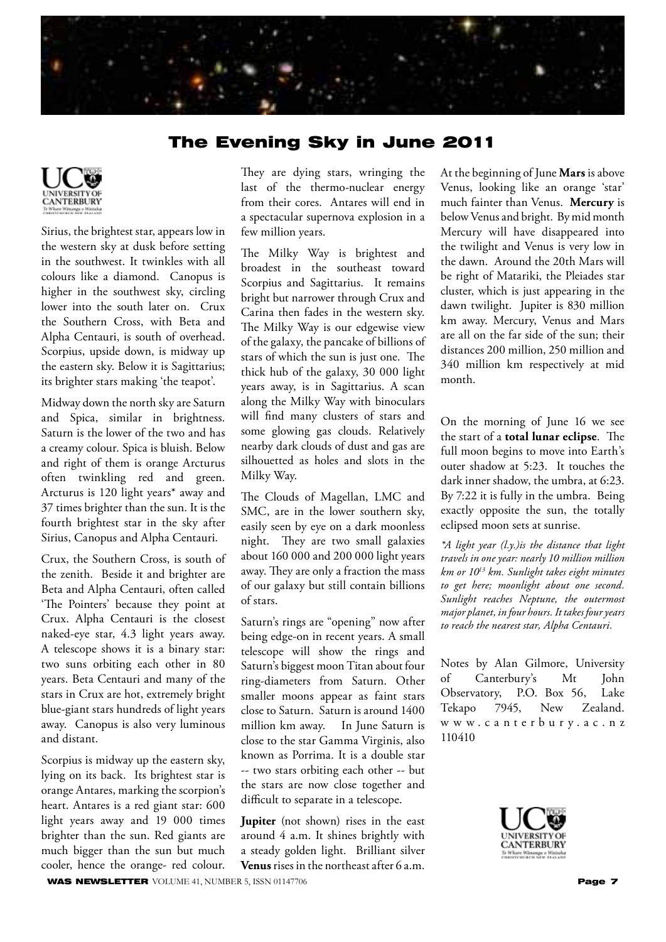## The Evening Sky in June 2011



Sirius, the brightest star, appears low in the western sky at dusk before setting in the southwest. It twinkles with all colours like a diamond. Canopus is higher in the southwest sky, circling lower into the south later on. Crux the Southern Cross, with Beta and Alpha Centauri, is south of overhead. Scorpius, upside down, is midway up the eastern sky. Below it is Sagittarius; its brighter stars making 'the teapot'.

Midway down the north sky are Saturn and Spica, similar in brightness. Saturn is the lower of the two and has a creamy colour. Spica is bluish. Below and right of them is orange Arcturus often twinkling red and green. Arcturus is 120 light years\* away and 37 times brighter than the sun. It is the fourth brightest star in the sky after Sirius, Canopus and Alpha Centauri.

Crux, the Southern Cross, is south of the zenith. Beside it and brighter are Beta and Alpha Centauri, often called 'The Pointers' because they point at Crux. Alpha Centauri is the closest naked-eye star, 4.3 light years away. A telescope shows it is a binary star: two suns orbiting each other in 80 years. Beta Centauri and many of the stars in Crux are hot, extremely bright blue-giant stars hundreds of light years away. Canopus is also very luminous and distant.

Scorpius is midway up the eastern sky, lying on its back. Its brightest star is orange Antares, marking the scorpion's heart. Antares is a red giant star: 600 light years away and 19 000 times brighter than the sun. Red giants are much bigger than the sun but much cooler, hence the orange- red colour. They are dying stars, wringing the last of the thermo-nuclear energy from their cores. Antares will end in a spectacular supernova explosion in a few million years.

The Milky Way is brightest and broadest in the southeast toward Scorpius and Sagittarius. It remains bright but narrower through Crux and Carina then fades in the western sky. The Milky Way is our edgewise view of the galaxy, the pancake of billions of stars of which the sun is just one. The thick hub of the galaxy, 30 000 light years away, is in Sagittarius. A scan along the Milky Way with binoculars will find many clusters of stars and some glowing gas clouds. Relatively nearby dark clouds of dust and gas are silhouetted as holes and slots in the Milky Way.

The Clouds of Magellan, LMC and SMC, are in the lower southern sky, easily seen by eye on a dark moonless night. They are two small galaxies about 160 000 and 200 000 light years away. They are only a fraction the mass of our galaxy but still contain billions of stars.

Saturn's rings are "opening" now after being edge-on in recent years. A small telescope will show the rings and Saturn's biggest moon Titan about four ring-diameters from Saturn. Other smaller moons appear as faint stars close to Saturn. Saturn is around 1400 million km away. In June Saturn is close to the star Gamma Virginis, also known as Porrima. It is a double star -- two stars orbiting each other -- but the stars are now close together and difficult to separate in a telescope.

**Jupiter** (not shown) rises in the east around 4 a.m. It shines brightly with a steady golden light. Brilliant silver **Venus** rises in the northeast after 6 a.m.

At the beginning of June **Mars** is above Venus, looking like an orange 'star' much fainter than Venus. **Mercury** is below Venus and bright. By mid month Mercury will have disappeared into the twilight and Venus is very low in the dawn. Around the 20th Mars will be right of Matariki, the Pleiades star cluster, which is just appearing in the dawn twilight. Jupiter is 830 million km away. Mercury, Venus and Mars are all on the far side of the sun; their distances 200 million, 250 million and 340 million km respectively at mid month.

On the morning of June 16 we see the start of a **total lunar eclipse**. The full moon begins to move into Earth's outer shadow at 5:23. It touches the dark inner shadow, the umbra, at 6:23. By 7:22 it is fully in the umbra. Being exactly opposite the sun, the totally eclipsed moon sets at sunrise.

*\*A light year (l.y.)is the distance that light travels in one year: nearly 10 million million km or 1013 km. Sunlight takes eight minutes to get here; moonlight about one second. Sunlight reaches Neptune, the outermost major planet, in four hours. It takes four years to reach the nearest star, Alpha Centauri.*

Notes by Alan Gilmore, University of Canterbury's Mt John Observatory, P.O. Box 56, Lake Tekapo 7945, New Zealand. w w w . c a n t e r b u r y . a c . n z 110410